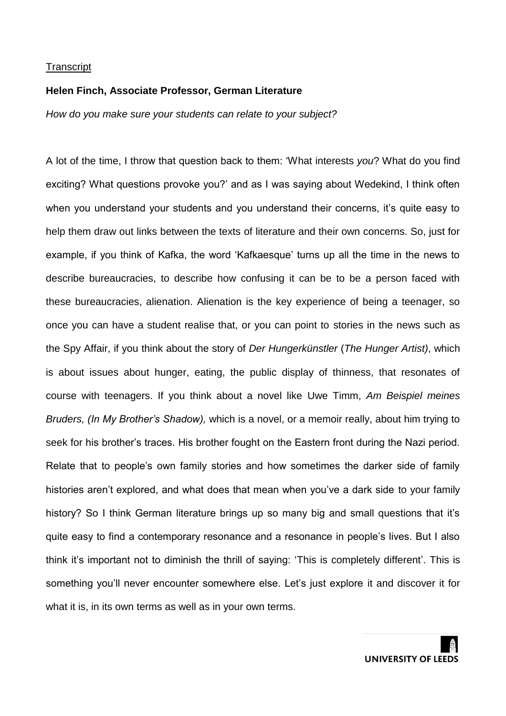#### **Helen Finch, Associate Professor, German Literature**

*How do you make sure your students can relate to your subject?*

A lot of the time, I throw that question back to them: 'What interests *you*? What do you find exciting? What questions provoke you?' and as I was saying about Wedekind, I think often when you understand your students and you understand their concerns, it's quite easy to help them draw out links between the texts of literature and their own concerns. So, just for example, if you think of Kafka, the word 'Kafkaesque' turns up all the time in the news to describe bureaucracies, to describe how confusing it can be to be a person faced with these bureaucracies, alienation. Alienation is the key experience of being a teenager, so once you can have a student realise that, or you can point to stories in the news such as the Spy Affair, if you think about the story of *Der Hungerkünstler* (*The Hunger Artist)*, which is about issues about hunger, eating, the public display of thinness, that resonates of course with teenagers. If you think about a novel like Uwe Timm, *Am Beispiel meines Bruders, (In My Brother's Shadow),* which is a novel, or a memoir really, about him trying to seek for his brother's traces. His brother fought on the Eastern front during the Nazi period. Relate that to people's own family stories and how sometimes the darker side of family histories aren't explored, and what does that mean when you've a dark side to your family history? So I think German literature brings up so many big and small questions that it's quite easy to find a contemporary resonance and a resonance in people's lives. But I also think it's important not to diminish the thrill of saying: 'This is completely different'. This is something you'll never encounter somewhere else. Let's just explore it and discover it for what it is, in its own terms as well as in your own terms.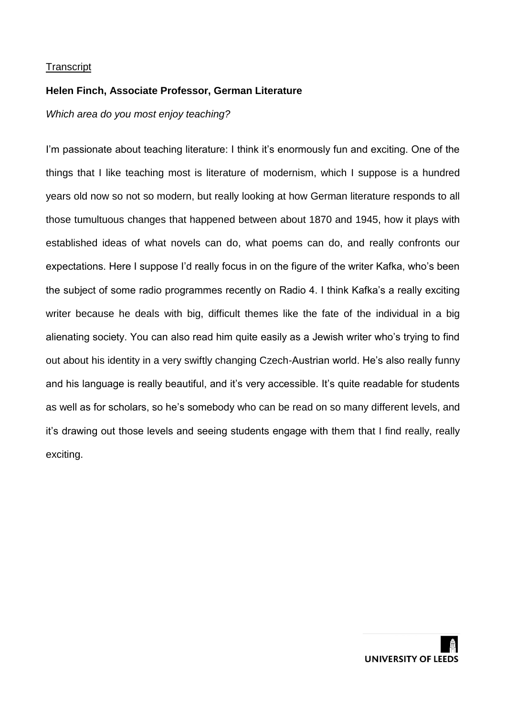## **Helen Finch, Associate Professor, German Literature**

*Which area do you most enjoy teaching?*

I'm passionate about teaching literature: I think it's enormously fun and exciting. One of the things that I like teaching most is literature of modernism, which I suppose is a hundred years old now so not so modern, but really looking at how German literature responds to all those tumultuous changes that happened between about 1870 and 1945, how it plays with established ideas of what novels can do, what poems can do, and really confronts our expectations. Here I suppose I'd really focus in on the figure of the writer Kafka, who's been the subject of some radio programmes recently on Radio 4. I think Kafka's a really exciting writer because he deals with big, difficult themes like the fate of the individual in a big alienating society. You can also read him quite easily as a Jewish writer who's trying to find out about his identity in a very swiftly changing Czech-Austrian world. He's also really funny and his language is really beautiful, and it's very accessible. It's quite readable for students as well as for scholars, so he's somebody who can be read on so many different levels, and it's drawing out those levels and seeing students engage with them that I find really, really exciting.

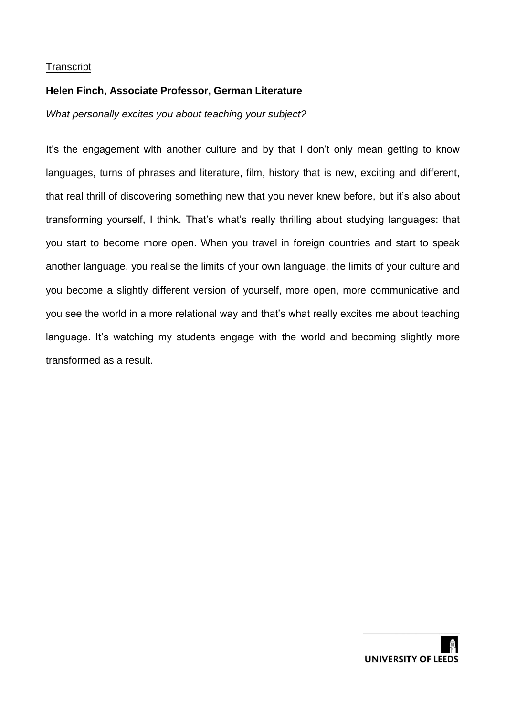# **Helen Finch, Associate Professor, German Literature**

*What personally excites you about teaching your subject?*

It's the engagement with another culture and by that I don't only mean getting to know languages, turns of phrases and literature, film, history that is new, exciting and different, that real thrill of discovering something new that you never knew before, but it's also about transforming yourself, I think. That's what's really thrilling about studying languages: that you start to become more open. When you travel in foreign countries and start to speak another language, you realise the limits of your own language, the limits of your culture and you become a slightly different version of yourself, more open, more communicative and you see the world in a more relational way and that's what really excites me about teaching language. It's watching my students engage with the world and becoming slightly more transformed as a result.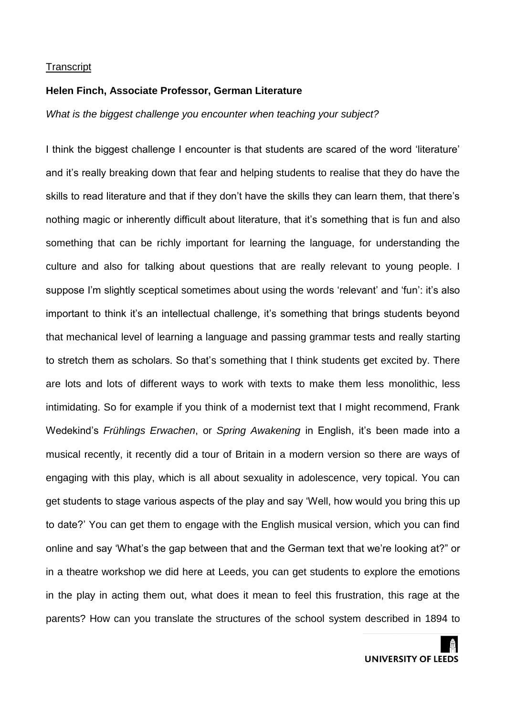### **Helen Finch, Associate Professor, German Literature**

*What is the biggest challenge you encounter when teaching your subject?*

I think the biggest challenge I encounter is that students are scared of the word 'literature' and it's really breaking down that fear and helping students to realise that they do have the skills to read literature and that if they don't have the skills they can learn them, that there's nothing magic or inherently difficult about literature, that it's something that is fun and also something that can be richly important for learning the language, for understanding the culture and also for talking about questions that are really relevant to young people. I suppose I'm slightly sceptical sometimes about using the words 'relevant' and 'fun': it's also important to think it's an intellectual challenge, it's something that brings students beyond that mechanical level of learning a language and passing grammar tests and really starting to stretch them as scholars. So that's something that I think students get excited by. There are lots and lots of different ways to work with texts to make them less monolithic, less intimidating. So for example if you think of a modernist text that I might recommend, Frank Wedekind's *Frühlings Erwachen*, or *Spring Awakening* in English, it's been made into a musical recently, it recently did a tour of Britain in a modern version so there are ways of engaging with this play, which is all about sexuality in adolescence, very topical. You can get students to stage various aspects of the play and say 'Well, how would you bring this up to date?' You can get them to engage with the English musical version, which you can find online and say 'What's the gap between that and the German text that we're looking at?" or in a theatre workshop we did here at Leeds, you can get students to explore the emotions in the play in acting them out, what does it mean to feel this frustration, this rage at the parents? How can you translate the structures of the school system described in 1894 to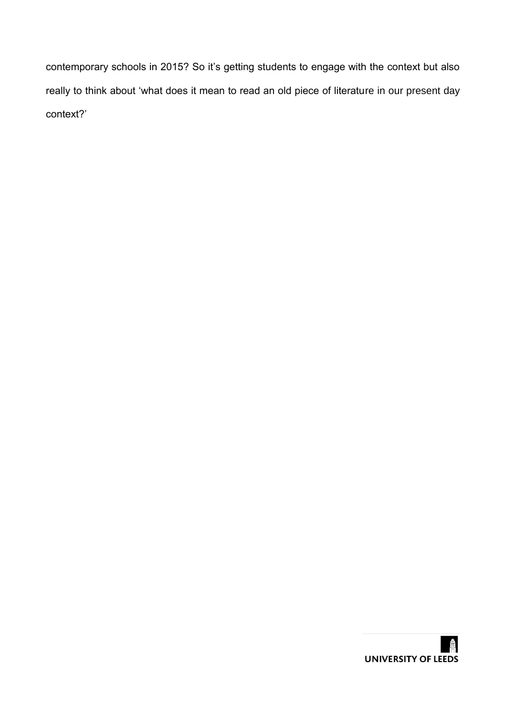contemporary schools in 2015? So it's getting students to engage with the context but also really to think about 'what does it mean to read an old piece of literature in our present day context?'